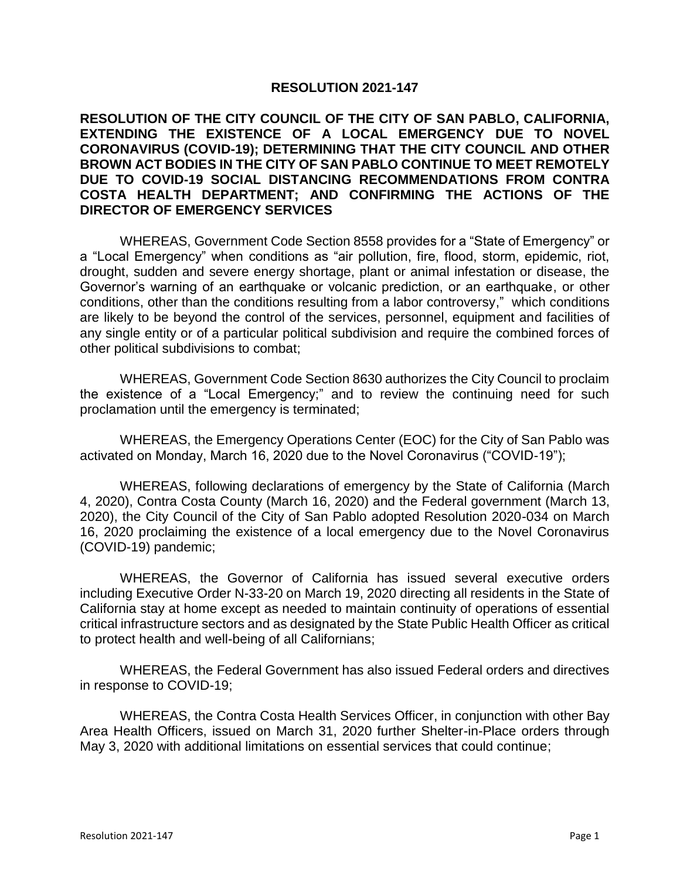## **RESOLUTION 2021-147**

## **RESOLUTION OF THE CITY COUNCIL OF THE CITY OF SAN PABLO, CALIFORNIA, EXTENDING THE EXISTENCE OF A LOCAL EMERGENCY DUE TO NOVEL CORONAVIRUS (COVID-19); DETERMINING THAT THE CITY COUNCIL AND OTHER BROWN ACT BODIES IN THE CITY OF SAN PABLO CONTINUE TO MEET REMOTELY DUE TO COVID-19 SOCIAL DISTANCING RECOMMENDATIONS FROM CONTRA COSTA HEALTH DEPARTMENT; AND CONFIRMING THE ACTIONS OF THE DIRECTOR OF EMERGENCY SERVICES**

WHEREAS, Government Code Section 8558 provides for a "State of Emergency" or a "Local Emergency" when conditions as "air pollution, fire, flood, storm, epidemic, riot, drought, sudden and severe energy shortage, plant or animal infestation or disease, the Governor's warning of an earthquake or volcanic prediction, or an earthquake, or other conditions, other than the conditions resulting from a labor controversy," which conditions are likely to be beyond the control of the services, personnel, equipment and facilities of any single entity or of a particular political subdivision and require the combined forces of other political subdivisions to combat;

WHEREAS, Government Code Section 8630 authorizes the City Council to proclaim the existence of a "Local Emergency;" and to review the continuing need for such proclamation until the emergency is terminated;

WHEREAS, the Emergency Operations Center (EOC) for the City of San Pablo was activated on Monday, March 16, 2020 due to the Novel Coronavirus ("COVID-19");

WHEREAS, following declarations of emergency by the State of California (March 4, 2020), Contra Costa County (March 16, 2020) and the Federal government (March 13, 2020), the City Council of the City of San Pablo adopted Resolution 2020-034 on March 16, 2020 proclaiming the existence of a local emergency due to the Novel Coronavirus (COVID-19) pandemic;

WHEREAS, the Governor of California has issued several executive orders including Executive Order N-33-20 on March 19, 2020 directing all residents in the State of California stay at home except as needed to maintain continuity of operations of essential critical infrastructure sectors and as designated by the State Public Health Officer as critical to protect health and well-being of all Californians;

WHEREAS, the Federal Government has also issued Federal orders and directives in response to COVID-19;

WHEREAS, the Contra Costa Health Services Officer, in conjunction with other Bay Area Health Officers, issued on March 31, 2020 further Shelter-in-Place orders through May 3, 2020 with additional limitations on essential services that could continue;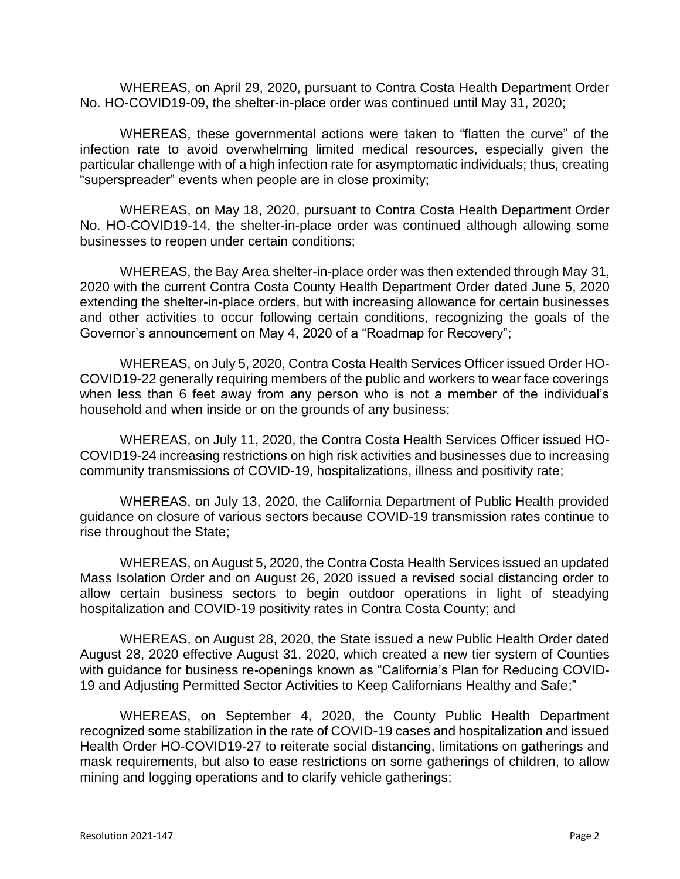WHEREAS, on April 29, 2020, pursuant to Contra Costa Health Department Order No. HO-COVID19-09, the shelter-in-place order was continued until May 31, 2020;

WHEREAS, these governmental actions were taken to "flatten the curve" of the infection rate to avoid overwhelming limited medical resources, especially given the particular challenge with of a high infection rate for asymptomatic individuals; thus, creating "superspreader" events when people are in close proximity;

WHEREAS, on May 18, 2020, pursuant to Contra Costa Health Department Order No. HO-COVID19-14, the shelter-in-place order was continued although allowing some businesses to reopen under certain conditions;

WHEREAS, the Bay Area shelter-in-place order was then extended through May 31, 2020 with the current Contra Costa County Health Department Order dated June 5, 2020 extending the shelter-in-place orders, but with increasing allowance for certain businesses and other activities to occur following certain conditions, recognizing the goals of the Governor's announcement on May 4, 2020 of a "Roadmap for Recovery";

WHEREAS, on July 5, 2020, Contra Costa Health Services Officer issued Order HO-COVID19-22 generally requiring members of the public and workers to wear face coverings when less than 6 feet away from any person who is not a member of the individual's household and when inside or on the grounds of any business;

WHEREAS, on July 11, 2020, the Contra Costa Health Services Officer issued HO-COVID19-24 increasing restrictions on high risk activities and businesses due to increasing community transmissions of COVID-19, hospitalizations, illness and positivity rate;

WHEREAS, on July 13, 2020, the California Department of Public Health provided guidance on closure of various sectors because COVID-19 transmission rates continue to rise throughout the State;

WHEREAS, on August 5, 2020, the Contra Costa Health Services issued an updated Mass Isolation Order and on August 26, 2020 issued a revised social distancing order to allow certain business sectors to begin outdoor operations in light of steadying hospitalization and COVID-19 positivity rates in Contra Costa County; and

WHEREAS, on August 28, 2020, the State issued a new Public Health Order dated August 28, 2020 effective August 31, 2020, which created a new tier system of Counties with guidance for business re-openings known as "California's Plan for Reducing COVID-19 and Adjusting Permitted Sector Activities to Keep Californians Healthy and Safe;"

WHEREAS, on September 4, 2020, the County Public Health Department recognized some stabilization in the rate of COVID-19 cases and hospitalization and issued Health Order HO-COVID19-27 to reiterate social distancing, limitations on gatherings and mask requirements, but also to ease restrictions on some gatherings of children, to allow mining and logging operations and to clarify vehicle gatherings;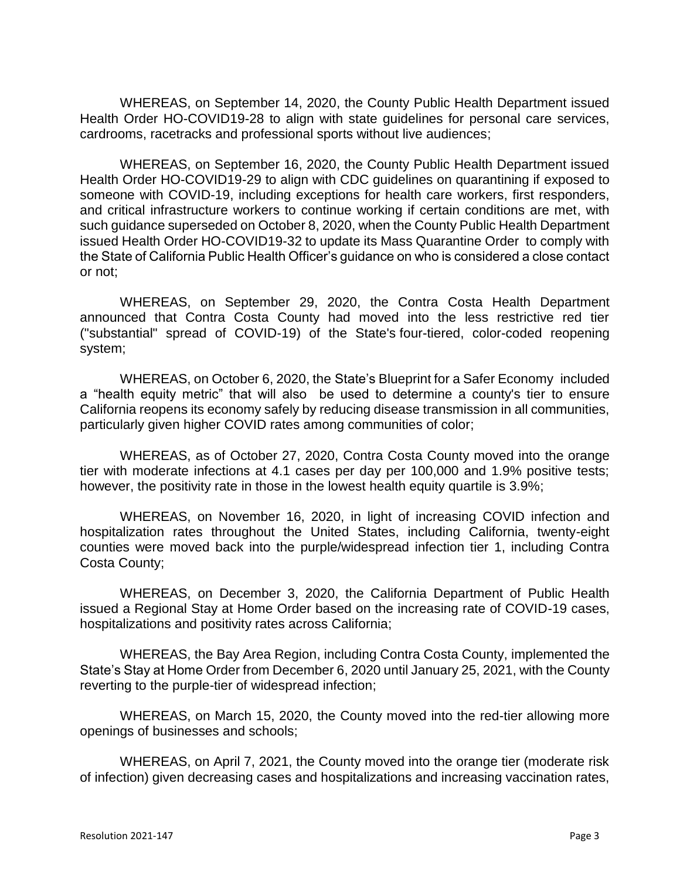WHEREAS, on September 14, 2020, the County Public Health Department issued Health Order HO-COVID19-28 to align with state guidelines for personal care services, cardrooms, racetracks and professional sports without live audiences;

WHEREAS, on September 16, 2020, the County Public Health Department issued Health Order HO-COVID19-29 to align with CDC guidelines on quarantining if exposed to someone with COVID-19, including exceptions for health care workers, first responders, and critical infrastructure workers to continue working if certain conditions are met, with such guidance superseded on October 8, 2020, when the County Public Health Department issued Health Order HO-COVID19-32 to update its Mass Quarantine Order to comply with the State of California Public Health Officer's guidance on who is considered a close contact or not;

WHEREAS, on September 29, 2020, the Contra Costa Health Department announced that Contra Costa County had moved into the less restrictive red tier ("substantial" spread of COVID-19) of the State's [four-tiered, color-coded reopening](https://covid19.ca.gov/safer-economy/)  [system;](https://covid19.ca.gov/safer-economy/)

WHEREAS, on October 6, 2020, the State's [Blueprint for a Safer Economy](https://www.cdph.ca.gov/Programs/CID/DCDC/Pages/COVID-19/COVID19CountyMonitoringOverview.aspx) included a "health equity metric" that will also be used to determine a county's tier to ensure California reopens its economy safely by reducing disease transmission in all communities, particularly given higher COVID rates among communities of color;

WHEREAS, as of October 27, 2020, Contra Costa County moved into the orange tier with moderate infections at 4.1 cases per day per 100,000 and 1.9% positive tests; however, the positivity rate in those in the lowest health equity quartile is 3.9%;

WHEREAS, on November 16, 2020, in light of increasing COVID infection and hospitalization rates throughout the United States, including California, twenty-eight counties were moved back into the purple/widespread infection tier 1, including Contra Costa County;

WHEREAS, on December 3, 2020, the California Department of Public Health issued a Regional Stay at Home Order based on the increasing rate of COVID-19 cases, hospitalizations and positivity rates across California;

WHEREAS, the Bay Area Region, including Contra Costa County, implemented the State's Stay at Home Order from December 6, 2020 until January 25, 2021, with the County reverting to the purple-tier of widespread infection;

WHEREAS, on March 15, 2020, the County moved into the red-tier allowing more openings of businesses and schools;

WHEREAS, on April 7, 2021, the County moved into the orange tier (moderate risk of infection) given decreasing cases and hospitalizations and increasing vaccination rates,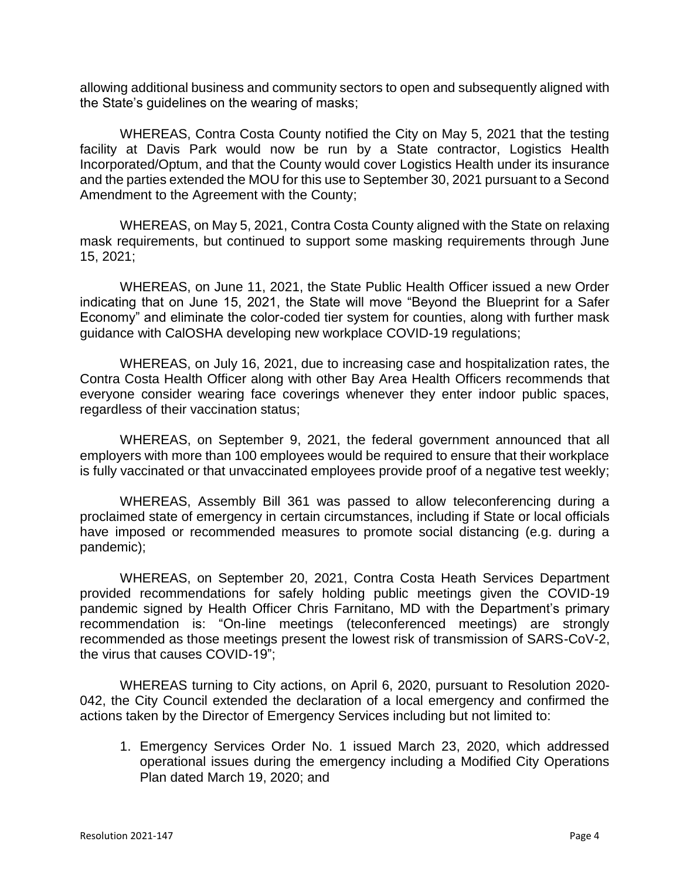allowing additional business and community sectors to open and subsequently aligned with the State's guidelines on the wearing of masks;

WHEREAS, Contra Costa County notified the City on May 5, 2021 that the testing facility at Davis Park would now be run by a State contractor, Logistics Health Incorporated/Optum, and that the County would cover Logistics Health under its insurance and the parties extended the MOU for this use to September 30, 2021 pursuant to a Second Amendment to the Agreement with the County;

WHEREAS, on May 5, 2021, Contra Costa County aligned with the State on relaxing mask requirements, but continued to support some masking requirements through June 15, 2021;

WHEREAS, on June 11, 2021, the State Public Health Officer issued a new Order indicating that on June 15, 2021, the State will move "Beyond the Blueprint for a Safer Economy" and eliminate the color-coded tier system for counties, along with further mask guidance with CalOSHA developing new workplace COVID-19 regulations;

WHEREAS, on July 16, 2021, due to increasing case and hospitalization rates, the Contra Costa Health Officer along with other Bay Area Health Officers recommends that everyone consider wearing face coverings whenever they enter indoor public spaces, regardless of their vaccination status;

WHEREAS, on September 9, 2021, the federal government announced that all employers with more than 100 employees would be required to ensure that their workplace is fully vaccinated or that unvaccinated employees provide proof of a negative test weekly;

WHEREAS, Assembly Bill 361 was passed to allow teleconferencing during a proclaimed state of emergency in certain circumstances, including if State or local officials have imposed or recommended measures to promote social distancing (e.g. during a pandemic);

WHEREAS, on September 20, 2021, Contra Costa Heath Services Department provided recommendations for safely holding public meetings given the COVID-19 pandemic signed by Health Officer Chris Farnitano, MD with the Department's primary recommendation is: "On-line meetings (teleconferenced meetings) are strongly recommended as those meetings present the lowest risk of transmission of SARS-CoV-2, the virus that causes COVID-19";

WHEREAS turning to City actions, on April 6, 2020, pursuant to Resolution 2020- 042, the City Council extended the declaration of a local emergency and confirmed the actions taken by the Director of Emergency Services including but not limited to:

1. Emergency Services Order No. 1 issued March 23, 2020, which addressed operational issues during the emergency including a Modified City Operations Plan dated March 19, 2020; and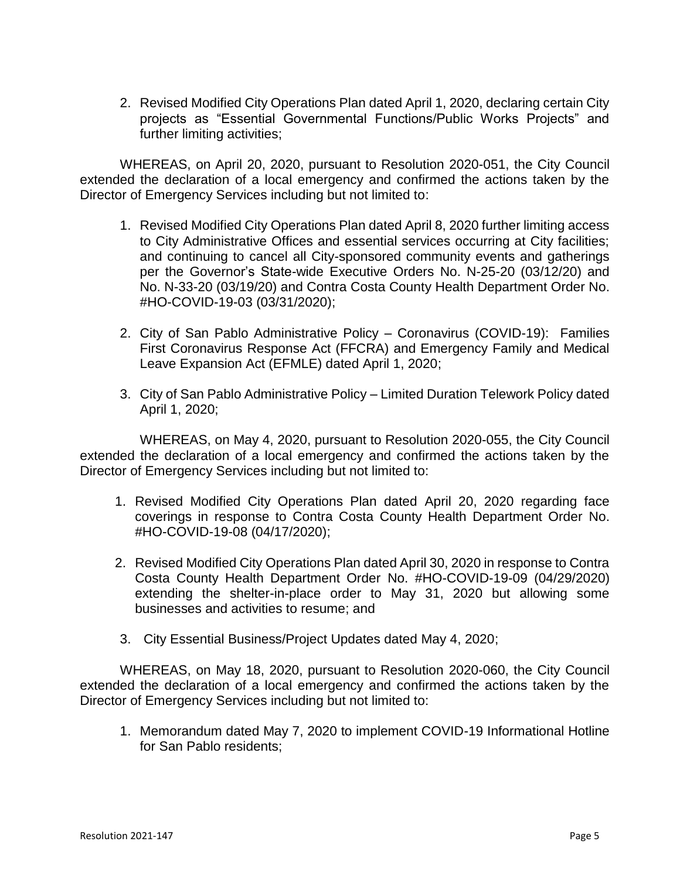2. Revised Modified City Operations Plan dated April 1, 2020, declaring certain City projects as "Essential Governmental Functions/Public Works Projects" and further limiting activities;

WHEREAS, on April 20, 2020, pursuant to Resolution 2020-051, the City Council extended the declaration of a local emergency and confirmed the actions taken by the Director of Emergency Services including but not limited to:

- 1. Revised Modified City Operations Plan dated April 8, 2020 further limiting access to City Administrative Offices and essential services occurring at City facilities; and continuing to cancel all City-sponsored community events and gatherings per the Governor's State-wide Executive Orders No. N-25-20 (03/12/20) and No. N-33-20 (03/19/20) and Contra Costa County Health Department Order No. #HO-COVID-19-03 (03/31/2020);
- 2. City of San Pablo Administrative Policy Coronavirus (COVID-19): Families First Coronavirus Response Act (FFCRA) and Emergency Family and Medical Leave Expansion Act (EFMLE) dated April 1, 2020;
- 3. City of San Pablo Administrative Policy Limited Duration Telework Policy dated April 1, 2020;

WHEREAS, on May 4, 2020, pursuant to Resolution 2020-055, the City Council extended the declaration of a local emergency and confirmed the actions taken by the Director of Emergency Services including but not limited to:

- 1. Revised Modified City Operations Plan dated April 20, 2020 regarding face coverings in response to Contra Costa County Health Department Order No. #HO-COVID-19-08 (04/17/2020);
- 2. Revised Modified City Operations Plan dated April 30, 2020 in response to Contra Costa County Health Department Order No. #HO-COVID-19-09 (04/29/2020) extending the shelter-in-place order to May 31, 2020 but allowing some businesses and activities to resume; and
- 3. City Essential Business/Project Updates dated May 4, 2020;

WHEREAS, on May 18, 2020, pursuant to Resolution 2020-060, the City Council extended the declaration of a local emergency and confirmed the actions taken by the Director of Emergency Services including but not limited to:

1. Memorandum dated May 7, 2020 to implement COVID-19 Informational Hotline for San Pablo residents;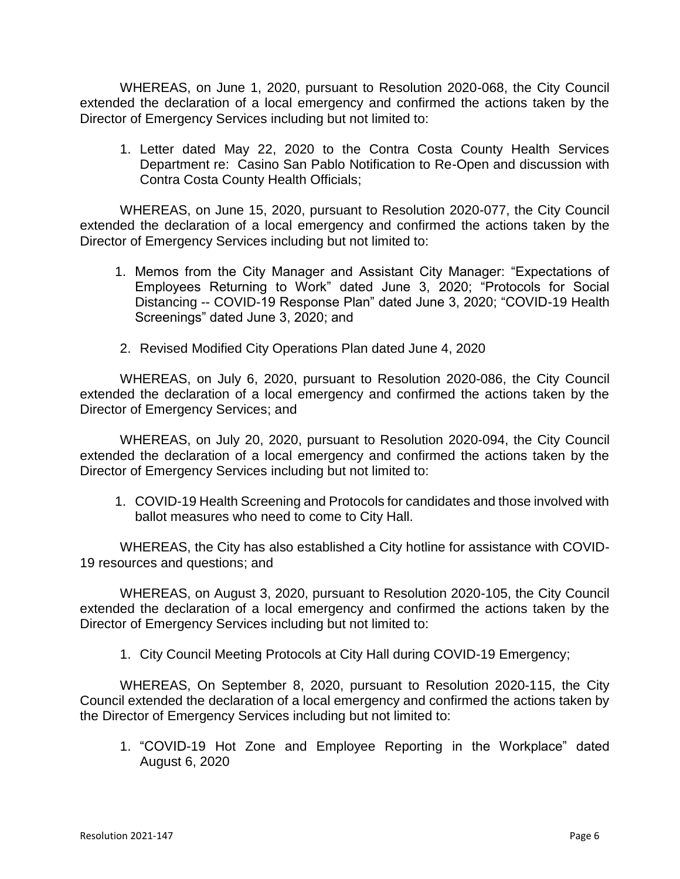WHEREAS, on June 1, 2020, pursuant to Resolution 2020-068, the City Council extended the declaration of a local emergency and confirmed the actions taken by the Director of Emergency Services including but not limited to:

1. Letter dated May 22, 2020 to the Contra Costa County Health Services Department re: Casino San Pablo Notification to Re-Open and discussion with Contra Costa County Health Officials;

WHEREAS, on June 15, 2020, pursuant to Resolution 2020-077, the City Council extended the declaration of a local emergency and confirmed the actions taken by the Director of Emergency Services including but not limited to:

- 1. Memos from the City Manager and Assistant City Manager: "Expectations of Employees Returning to Work" dated June 3, 2020; "Protocols for Social Distancing -- COVID-19 Response Plan" dated June 3, 2020; "COVID-19 Health Screenings" dated June 3, 2020; and
- 2. Revised Modified City Operations Plan dated June 4, 2020

WHEREAS, on July 6, 2020, pursuant to Resolution 2020-086, the City Council extended the declaration of a local emergency and confirmed the actions taken by the Director of Emergency Services; and

WHEREAS, on July 20, 2020, pursuant to Resolution 2020-094, the City Council extended the declaration of a local emergency and confirmed the actions taken by the Director of Emergency Services including but not limited to:

1. COVID-19 Health Screening and Protocols for candidates and those involved with ballot measures who need to come to City Hall.

WHEREAS, the City has also established a City hotline for assistance with COVID-19 resources and questions; and

WHEREAS, on August 3, 2020, pursuant to Resolution 2020-105, the City Council extended the declaration of a local emergency and confirmed the actions taken by the Director of Emergency Services including but not limited to:

1. City Council Meeting Protocols at City Hall during COVID-19 Emergency;

WHEREAS, On September 8, 2020, pursuant to Resolution 2020-115, the City Council extended the declaration of a local emergency and confirmed the actions taken by the Director of Emergency Services including but not limited to:

1. "COVID-19 Hot Zone and Employee Reporting in the Workplace" dated August 6, 2020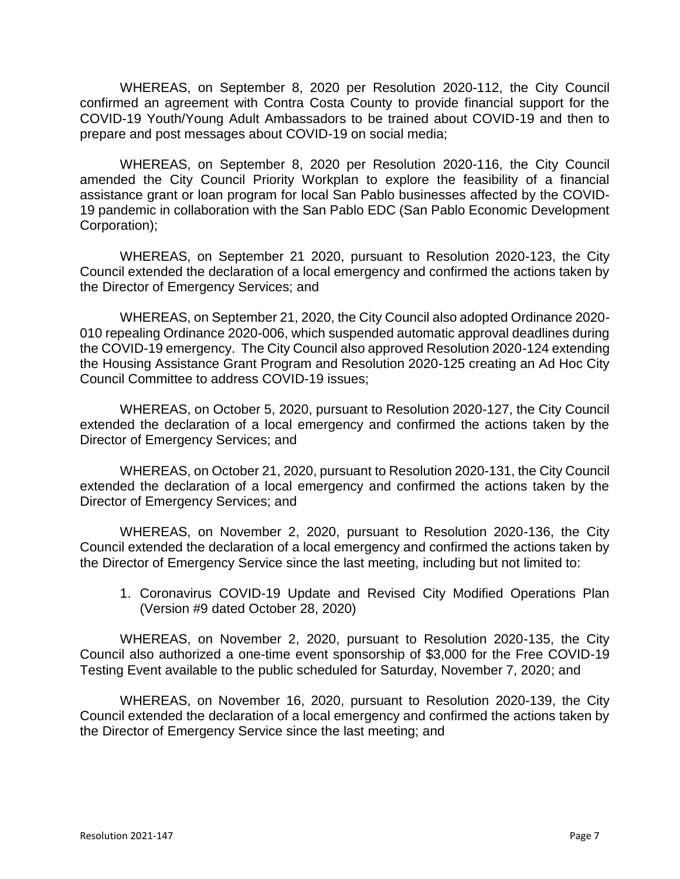WHEREAS, on September 8, 2020 per Resolution 2020-112, the City Council confirmed an agreement with Contra Costa County to provide financial support for the COVID-19 Youth/Young Adult Ambassadors to be trained about COVID-19 and then to prepare and post messages about COVID-19 on social media;

WHEREAS, on September 8, 2020 per Resolution 2020-116, the City Council amended the City Council Priority Workplan to explore the feasibility of a financial assistance grant or loan program for local San Pablo businesses affected by the COVID-19 pandemic in collaboration with the San Pablo EDC (San Pablo Economic Development Corporation);

WHEREAS, on September 21 2020, pursuant to Resolution 2020-123, the City Council extended the declaration of a local emergency and confirmed the actions taken by the Director of Emergency Services; and

WHEREAS, on September 21, 2020, the City Council also adopted Ordinance 2020- 010 repealing Ordinance 2020-006, which suspended automatic approval deadlines during the COVID-19 emergency. The City Council also approved Resolution 2020-124 extending the Housing Assistance Grant Program and Resolution 2020-125 creating an Ad Hoc City Council Committee to address COVID-19 issues;

WHEREAS, on October 5, 2020, pursuant to Resolution 2020-127, the City Council extended the declaration of a local emergency and confirmed the actions taken by the Director of Emergency Services; and

WHEREAS, on October 21, 2020, pursuant to Resolution 2020-131, the City Council extended the declaration of a local emergency and confirmed the actions taken by the Director of Emergency Services; and

WHEREAS, on November 2, 2020, pursuant to Resolution 2020-136, the City Council extended the declaration of a local emergency and confirmed the actions taken by the Director of Emergency Service since the last meeting, including but not limited to:

1. Coronavirus COVID-19 Update and Revised City Modified Operations Plan (Version #9 dated October 28, 2020)

WHEREAS, on November 2, 2020, pursuant to Resolution 2020-135, the City Council also authorized a one-time event sponsorship of \$3,000 for the Free COVID-19 Testing Event available to the public scheduled for Saturday, November 7, 2020; and

WHEREAS, on November 16, 2020, pursuant to Resolution 2020-139, the City Council extended the declaration of a local emergency and confirmed the actions taken by the Director of Emergency Service since the last meeting; and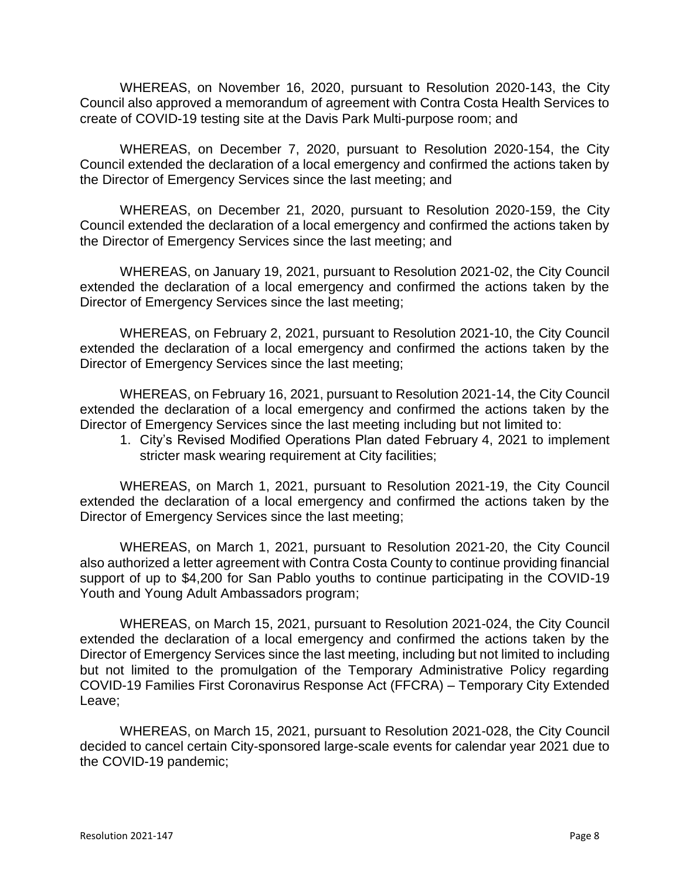WHEREAS, on November 16, 2020, pursuant to Resolution 2020-143, the City Council also approved a memorandum of agreement with Contra Costa Health Services to create of COVID-19 testing site at the Davis Park Multi-purpose room; and

WHEREAS, on December 7, 2020, pursuant to Resolution 2020-154, the City Council extended the declaration of a local emergency and confirmed the actions taken by the Director of Emergency Services since the last meeting; and

WHEREAS, on December 21, 2020, pursuant to Resolution 2020-159, the City Council extended the declaration of a local emergency and confirmed the actions taken by the Director of Emergency Services since the last meeting; and

WHEREAS, on January 19, 2021, pursuant to Resolution 2021-02, the City Council extended the declaration of a local emergency and confirmed the actions taken by the Director of Emergency Services since the last meeting;

WHEREAS, on February 2, 2021, pursuant to Resolution 2021-10, the City Council extended the declaration of a local emergency and confirmed the actions taken by the Director of Emergency Services since the last meeting;

WHEREAS, on February 16, 2021, pursuant to Resolution 2021-14, the City Council extended the declaration of a local emergency and confirmed the actions taken by the Director of Emergency Services since the last meeting including but not limited to:

1. City's Revised Modified Operations Plan dated February 4, 2021 to implement stricter mask wearing requirement at City facilities;

WHEREAS, on March 1, 2021, pursuant to Resolution 2021-19, the City Council extended the declaration of a local emergency and confirmed the actions taken by the Director of Emergency Services since the last meeting;

WHEREAS, on March 1, 2021, pursuant to Resolution 2021-20, the City Council also authorized a letter agreement with Contra Costa County to continue providing financial support of up to \$4,200 for San Pablo youths to continue participating in the COVID-19 Youth and Young Adult Ambassadors program;

WHEREAS, on March 15, 2021, pursuant to Resolution 2021-024, the City Council extended the declaration of a local emergency and confirmed the actions taken by the Director of Emergency Services since the last meeting, including but not limited to including but not limited to the promulgation of the Temporary Administrative Policy regarding COVID-19 Families First Coronavirus Response Act (FFCRA) – Temporary City Extended Leave;

WHEREAS, on March 15, 2021, pursuant to Resolution 2021-028, the City Council decided to cancel certain City-sponsored large-scale events for calendar year 2021 due to the COVID-19 pandemic;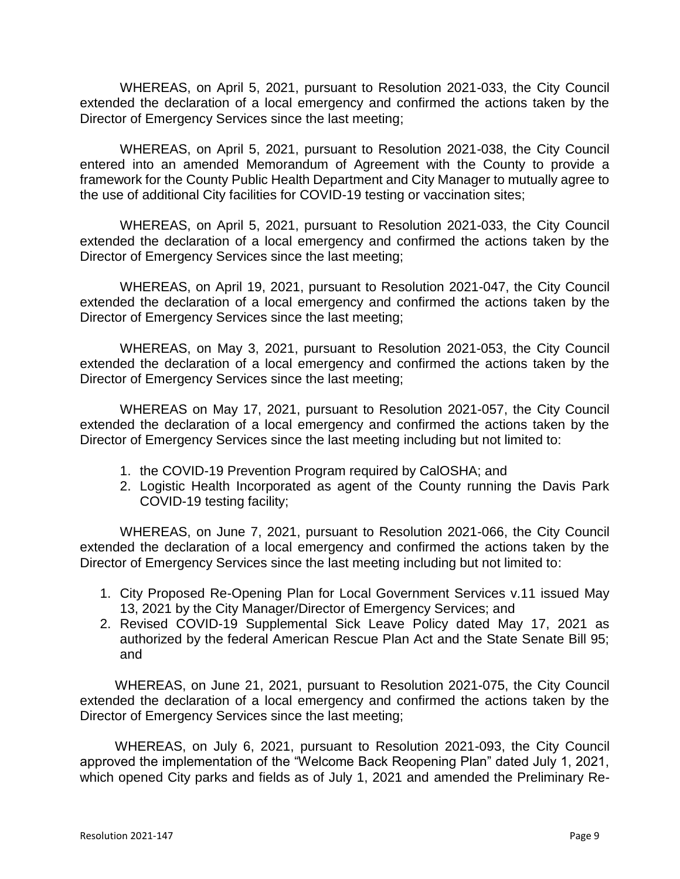WHEREAS, on April 5, 2021, pursuant to Resolution 2021-033, the City Council extended the declaration of a local emergency and confirmed the actions taken by the Director of Emergency Services since the last meeting;

WHEREAS, on April 5, 2021, pursuant to Resolution 2021-038, the City Council entered into an amended Memorandum of Agreement with the County to provide a framework for the County Public Health Department and City Manager to mutually agree to the use of additional City facilities for COVID-19 testing or vaccination sites;

WHEREAS, on April 5, 2021, pursuant to Resolution 2021-033, the City Council extended the declaration of a local emergency and confirmed the actions taken by the Director of Emergency Services since the last meeting;

WHEREAS, on April 19, 2021, pursuant to Resolution 2021-047, the City Council extended the declaration of a local emergency and confirmed the actions taken by the Director of Emergency Services since the last meeting;

WHEREAS, on May 3, 2021, pursuant to Resolution 2021-053, the City Council extended the declaration of a local emergency and confirmed the actions taken by the Director of Emergency Services since the last meeting;

WHEREAS on May 17, 2021, pursuant to Resolution 2021-057, the City Council extended the declaration of a local emergency and confirmed the actions taken by the Director of Emergency Services since the last meeting including but not limited to:

- 1. the COVID-19 Prevention Program required by CalOSHA; and
- 2. Logistic Health Incorporated as agent of the County running the Davis Park COVID-19 testing facility;

WHEREAS, on June 7, 2021, pursuant to Resolution 2021-066, the City Council extended the declaration of a local emergency and confirmed the actions taken by the Director of Emergency Services since the last meeting including but not limited to:

- 1. City Proposed Re-Opening Plan for Local Government Services v.11 issued May 13, 2021 by the City Manager/Director of Emergency Services; and
- 2. Revised COVID-19 Supplemental Sick Leave Policy dated May 17, 2021 as authorized by the federal American Rescue Plan Act and the State Senate Bill 95; and

WHEREAS, on June 21, 2021, pursuant to Resolution 2021-075, the City Council extended the declaration of a local emergency and confirmed the actions taken by the Director of Emergency Services since the last meeting;

WHEREAS, on July 6, 2021, pursuant to Resolution 2021-093, the City Council approved the implementation of the "Welcome Back Reopening Plan" dated July 1, 2021, which opened City parks and fields as of July 1, 2021 and amended the Preliminary Re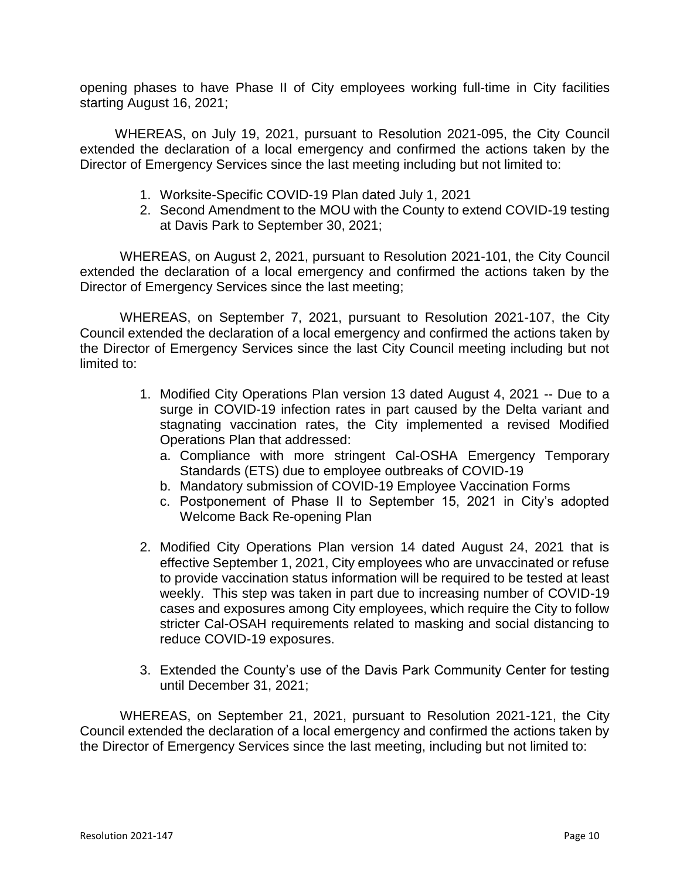opening phases to have Phase II of City employees working full-time in City facilities starting August 16, 2021;

WHEREAS, on July 19, 2021, pursuant to Resolution 2021-095, the City Council extended the declaration of a local emergency and confirmed the actions taken by the Director of Emergency Services since the last meeting including but not limited to:

- 1. Worksite-Specific COVID-19 Plan dated July 1, 2021
- 2. Second Amendment to the MOU with the County to extend COVID-19 testing at Davis Park to September 30, 2021;

WHEREAS, on August 2, 2021, pursuant to Resolution 2021-101, the City Council extended the declaration of a local emergency and confirmed the actions taken by the Director of Emergency Services since the last meeting;

WHEREAS, on September 7, 2021, pursuant to Resolution 2021-107, the City Council extended the declaration of a local emergency and confirmed the actions taken by the Director of Emergency Services since the last City Council meeting including but not limited to:

- 1. Modified City Operations Plan version 13 dated August 4, 2021 -- Due to a surge in COVID-19 infection rates in part caused by the Delta variant and stagnating vaccination rates, the City implemented a revised Modified Operations Plan that addressed:
	- a. Compliance with more stringent Cal-OSHA Emergency Temporary Standards (ETS) due to employee outbreaks of COVID-19
	- b. Mandatory submission of COVID-19 Employee Vaccination Forms
	- c. Postponement of Phase II to September 15, 2021 in City's adopted Welcome Back Re-opening Plan
- 2. Modified City Operations Plan version 14 dated August 24, 2021 that is effective September 1, 2021, City employees who are unvaccinated or refuse to provide vaccination status information will be required to be tested at least weekly. This step was taken in part due to increasing number of COVID-19 cases and exposures among City employees, which require the City to follow stricter Cal-OSAH requirements related to masking and social distancing to reduce COVID-19 exposures.
- 3. Extended the County's use of the Davis Park Community Center for testing until December 31, 2021;

WHEREAS, on September 21, 2021, pursuant to Resolution 2021-121, the City Council extended the declaration of a local emergency and confirmed the actions taken by the Director of Emergency Services since the last meeting, including but not limited to: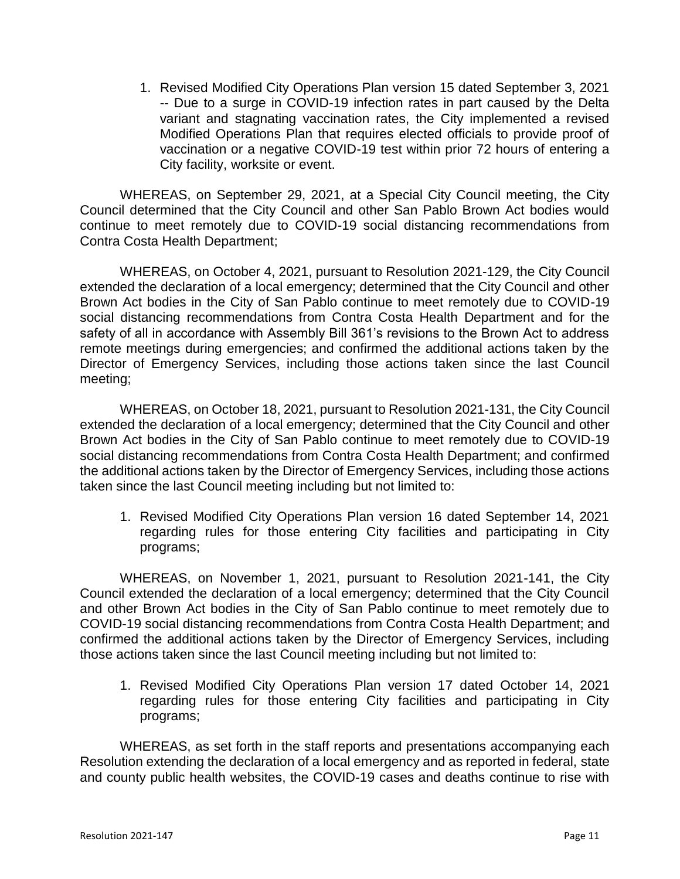1. Revised Modified City Operations Plan version 15 dated September 3, 2021 -- Due to a surge in COVID-19 infection rates in part caused by the Delta variant and stagnating vaccination rates, the City implemented a revised Modified Operations Plan that requires elected officials to provide proof of vaccination or a negative COVID-19 test within prior 72 hours of entering a City facility, worksite or event.

WHEREAS, on September 29, 2021, at a Special City Council meeting, the City Council determined that the City Council and other San Pablo Brown Act bodies would continue to meet remotely due to COVID-19 social distancing recommendations from Contra Costa Health Department;

WHEREAS, on October 4, 2021, pursuant to Resolution 2021-129, the City Council extended the declaration of a local emergency; determined that the City Council and other Brown Act bodies in the City of San Pablo continue to meet remotely due to COVID-19 social distancing recommendations from Contra Costa Health Department and for the safety of all in accordance with Assembly Bill 361's revisions to the Brown Act to address remote meetings during emergencies; and confirmed the additional actions taken by the Director of Emergency Services, including those actions taken since the last Council meeting;

WHEREAS, on October 18, 2021, pursuant to Resolution 2021-131, the City Council extended the declaration of a local emergency; determined that the City Council and other Brown Act bodies in the City of San Pablo continue to meet remotely due to COVID-19 social distancing recommendations from Contra Costa Health Department; and confirmed the additional actions taken by the Director of Emergency Services, including those actions taken since the last Council meeting including but not limited to:

1. Revised Modified City Operations Plan version 16 dated September 14, 2021 regarding rules for those entering City facilities and participating in City programs;

WHEREAS, on November 1, 2021, pursuant to Resolution 2021-141, the City Council extended the declaration of a local emergency; determined that the City Council and other Brown Act bodies in the City of San Pablo continue to meet remotely due to COVID-19 social distancing recommendations from Contra Costa Health Department; and confirmed the additional actions taken by the Director of Emergency Services, including those actions taken since the last Council meeting including but not limited to:

1. Revised Modified City Operations Plan version 17 dated October 14, 2021 regarding rules for those entering City facilities and participating in City programs;

WHEREAS, as set forth in the staff reports and presentations accompanying each Resolution extending the declaration of a local emergency and as reported in federal, state and county public health websites, the COVID-19 cases and deaths continue to rise with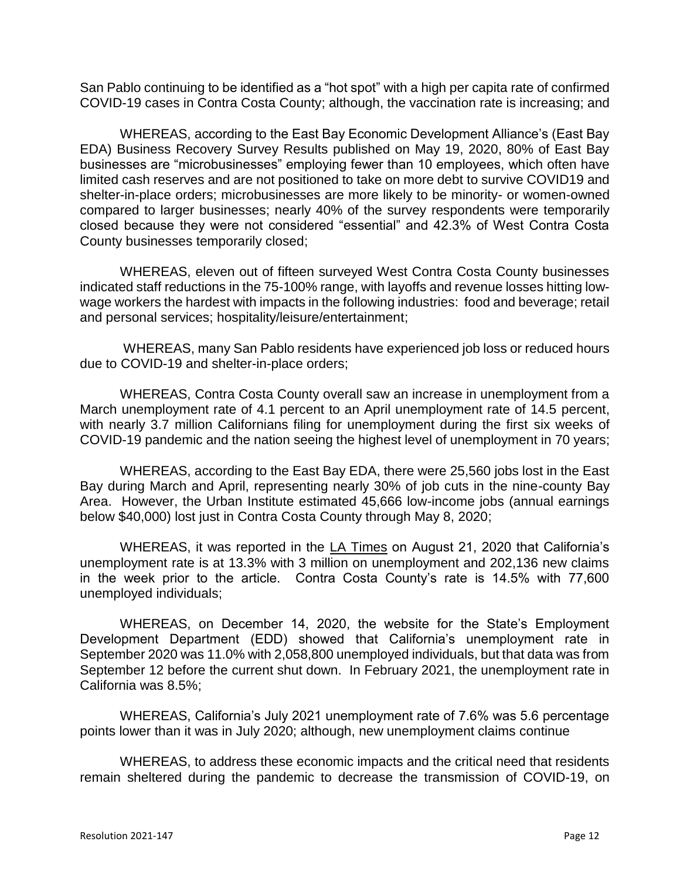San Pablo continuing to be identified as a "hot spot" with a high per capita rate of confirmed COVID-19 cases in Contra Costa County; although, the vaccination rate is increasing; and

WHEREAS, according to the East Bay Economic Development Alliance's (East Bay EDA) Business Recovery Survey Results published on May 19, 2020, 80% of East Bay businesses are "microbusinesses" employing fewer than 10 employees, which often have limited cash reserves and are not positioned to take on more debt to survive COVID19 and shelter-in-place orders; microbusinesses are more likely to be minority- or women-owned compared to larger businesses; nearly 40% of the survey respondents were temporarily closed because they were not considered "essential" and 42.3% of West Contra Costa County businesses temporarily closed;

WHEREAS, eleven out of fifteen surveyed West Contra Costa County businesses indicated staff reductions in the 75-100% range, with layoffs and revenue losses hitting lowwage workers the hardest with impacts in the following industries: food and beverage; retail and personal services; hospitality/leisure/entertainment;

WHEREAS, many San Pablo residents have experienced job loss or reduced hours due to COVID-19 and shelter-in-place orders;

WHEREAS, Contra Costa County overall saw an increase in unemployment from a March unemployment rate of 4.1 percent to an April unemployment rate of 14.5 percent, with nearly 3.7 million Californians filing for unemployment during the first six weeks of COVID-19 pandemic and the nation seeing the highest level of unemployment in 70 years;

WHEREAS, according to the East Bay EDA, there were 25,560 jobs lost in the East Bay during March and April, representing nearly 30% of job cuts in the nine-county Bay Area. However, the Urban Institute estimated 45,666 low-income jobs (annual earnings below \$40,000) lost just in Contra Costa County through May 8, 2020;

WHEREAS, it was reported in the LA Times on August 21, 2020 that California's unemployment rate is at 13.3% with 3 million on unemployment and 202,136 new claims in the week prior to the article. Contra Costa County's rate is 14.5% with 77,600 unemployed individuals;

WHEREAS, on December 14, 2020, the website for the State's Employment Development Department (EDD) showed that California's unemployment rate in September 2020 was 11.0% with 2,058,800 unemployed individuals, but that data was from September 12 before the current shut down. In February 2021, the unemployment rate in California was 8.5%;

WHEREAS, California's July 2021 unemployment rate of 7.6% was 5.6 percentage points lower than it was in July 2020; although, new unemployment claims continue

WHEREAS, to address these economic impacts and the critical need that residents remain sheltered during the pandemic to decrease the transmission of COVID-19, on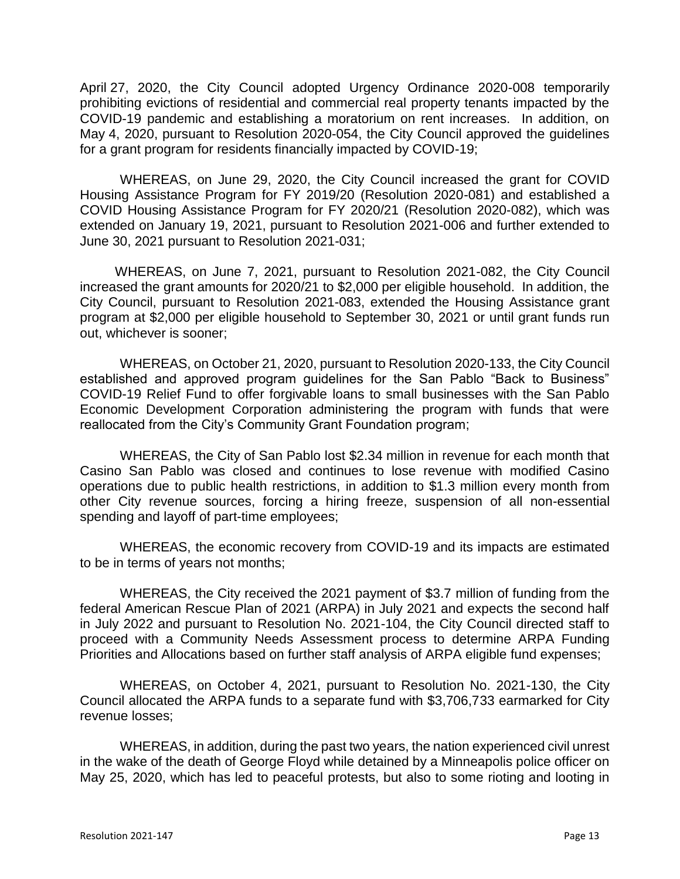April 27, 2020, the City Council adopted Urgency Ordinance 2020-008 temporarily prohibiting evictions of residential and commercial real property tenants impacted by the COVID-19 pandemic and establishing a moratorium on rent increases. In addition, on May 4, 2020, pursuant to Resolution 2020-054, the City Council approved the guidelines for a grant program for residents financially impacted by COVID-19;

WHEREAS, on June 29, 2020, the City Council increased the grant for COVID Housing Assistance Program for FY 2019/20 (Resolution 2020-081) and established a COVID Housing Assistance Program for FY 2020/21 (Resolution 2020-082), which was extended on January 19, 2021, pursuant to Resolution 2021-006 and further extended to June 30, 2021 pursuant to Resolution 2021-031;

WHEREAS, on June 7, 2021, pursuant to Resolution 2021-082, the City Council increased the grant amounts for 2020/21 to \$2,000 per eligible household. In addition, the City Council, pursuant to Resolution 2021-083, extended the Housing Assistance grant program at \$2,000 per eligible household to September 30, 2021 or until grant funds run out, whichever is sooner;

WHEREAS, on October 21, 2020, pursuant to Resolution 2020-133, the City Council established and approved program guidelines for the San Pablo "Back to Business" COVID-19 Relief Fund to offer forgivable loans to small businesses with the San Pablo Economic Development Corporation administering the program with funds that were reallocated from the City's Community Grant Foundation program;

WHEREAS, the City of San Pablo lost \$2.34 million in revenue for each month that Casino San Pablo was closed and continues to lose revenue with modified Casino operations due to public health restrictions, in addition to \$1.3 million every month from other City revenue sources, forcing a hiring freeze, suspension of all non-essential spending and layoff of part-time employees;

WHEREAS, the economic recovery from COVID-19 and its impacts are estimated to be in terms of years not months;

WHEREAS, the City received the 2021 payment of \$3.7 million of funding from the federal American Rescue Plan of 2021 (ARPA) in July 2021 and expects the second half in July 2022 and pursuant to Resolution No. 2021-104, the City Council directed staff to proceed with a Community Needs Assessment process to determine ARPA Funding Priorities and Allocations based on further staff analysis of ARPA eligible fund expenses;

WHEREAS, on October 4, 2021, pursuant to Resolution No. 2021-130, the City Council allocated the ARPA funds to a separate fund with \$3,706,733 earmarked for City revenue losses;

WHEREAS, in addition, during the past two years, the nation experienced civil unrest in the wake of the death of George Floyd while detained by a Minneapolis police officer on May 25, 2020, which has led to peaceful protests, but also to some rioting and looting in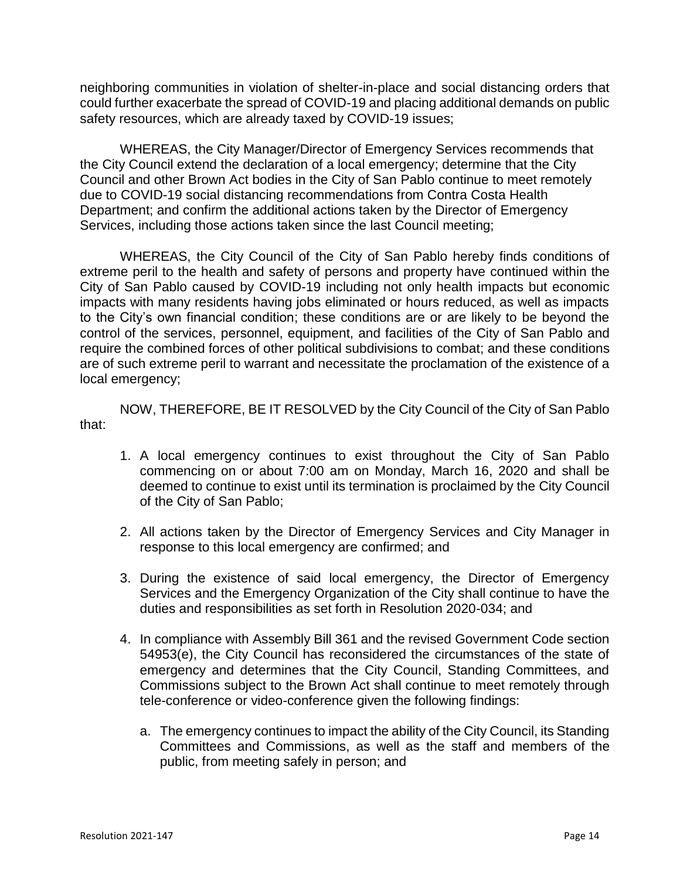neighboring communities in violation of shelter-in-place and social distancing orders that could further exacerbate the spread of COVID-19 and placing additional demands on public safety resources, which are already taxed by COVID-19 issues;

WHEREAS, the City Manager/Director of Emergency Services recommends that the City Council extend the declaration of a local emergency; determine that the City Council and other Brown Act bodies in the City of San Pablo continue to meet remotely due to COVID-19 social distancing recommendations from Contra Costa Health Department; and confirm the additional actions taken by the Director of Emergency Services, including those actions taken since the last Council meeting;

WHEREAS, the City Council of the City of San Pablo hereby finds conditions of extreme peril to the health and safety of persons and property have continued within the City of San Pablo caused by COVID-19 including not only health impacts but economic impacts with many residents having jobs eliminated or hours reduced, as well as impacts to the City's own financial condition; these conditions are or are likely to be beyond the control of the services, personnel, equipment, and facilities of the City of San Pablo and require the combined forces of other political subdivisions to combat; and these conditions are of such extreme peril to warrant and necessitate the proclamation of the existence of a local emergency;

NOW, THEREFORE, BE IT RESOLVED by the City Council of the City of San Pablo that:

- 1. A local emergency continues to exist throughout the City of San Pablo commencing on or about 7:00 am on Monday, March 16, 2020 and shall be deemed to continue to exist until its termination is proclaimed by the City Council of the City of San Pablo;
- 2. All actions taken by the Director of Emergency Services and City Manager in response to this local emergency are confirmed; and
- 3. During the existence of said local emergency, the Director of Emergency Services and the Emergency Organization of the City shall continue to have the duties and responsibilities as set forth in Resolution 2020-034; and
- 4. In compliance with Assembly Bill 361 and the revised Government Code section 54953(e), the City Council has reconsidered the circumstances of the state of emergency and determines that the City Council, Standing Committees, and Commissions subject to the Brown Act shall continue to meet remotely through tele-conference or video-conference given the following findings:
	- a. The emergency continues to impact the ability of the City Council, its Standing Committees and Commissions, as well as the staff and members of the public, from meeting safely in person; and